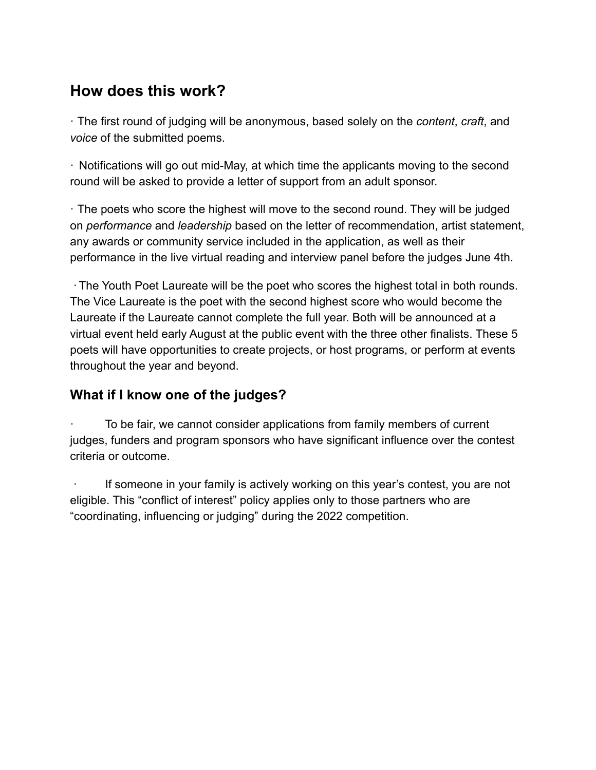# **How does this work?**

· The first round of judging will be anonymous, based solely on the *content*, *craft*, and *voice* of the submitted poems.

· Notifications will go out mid-May, at which time the applicants moving to the second round will be asked to provide a letter of support from an adult sponsor.

· The poets who score the highest will move to the second round. They will be judged on *performance* and *leadership* based on the letter of recommendation, artist statement, any awards or community service included in the application, as well as their performance in the live virtual reading and interview panel before the judges June 4th.

·The Youth Poet Laureate will be the poet who scores the highest total in both rounds. The Vice Laureate is the poet with the second highest score who would become the Laureate if the Laureate cannot complete the full year. Both will be announced at a virtual event held early August at the public event with the three other finalists. These 5 poets will have opportunities to create projects, or host programs, or perform at events throughout the year and beyond.

## **What if I know one of the judges?**

To be fair, we cannot consider applications from family members of current judges, funders and program sponsors who have significant influence over the contest criteria or outcome.

· If someone in your family is actively working on this year's contest, you are not eligible. This "conflict of interest" policy applies only to those partners who are "coordinating, influencing or judging" during the 2022 competition.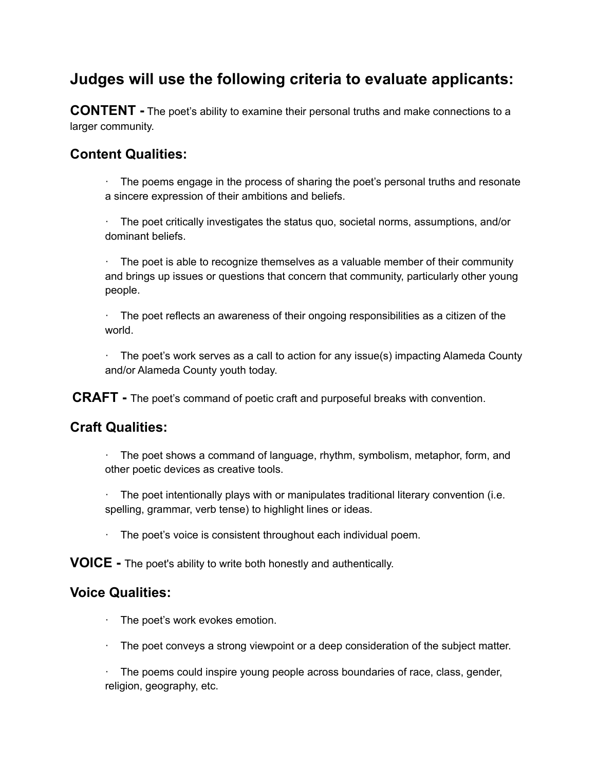# **Judges will use the following criteria to evaluate applicants:**

**CONTENT -** The poet's ability to examine their personal truths and make connections to a larger community.

## **Content Qualities:**

· The poems engage in the process of sharing the poet's personal truths and resonate a sincere expression of their ambitions and beliefs.

· The poet critically investigates the status quo, societal norms, assumptions, and/or dominant beliefs.

· The poet is able to recognize themselves as a valuable member of their community and brings up issues or questions that concern that community, particularly other young people.

The poet reflects an awareness of their ongoing responsibilities as a citizen of the world.

· The poet's work serves as a call to action for any issue(s) impacting Alameda County and/or Alameda County youth today.

**CRAFT -** The poet's command of poetic craft and purposeful breaks with convention.

### **Craft Qualities:**

· The poet shows a command of language, rhythm, symbolism, metaphor, form, and other poetic devices as creative tools.

 $\cdot$  The poet intentionally plays with or manipulates traditional literary convention (i.e. spelling, grammar, verb tense) to highlight lines or ideas.

· The poet's voice is consistent throughout each individual poem.

**VOICE -** The poet's ability to write both honestly and authentically.

### **Voice Qualities:**

- · The poet's work evokes emotion.
- · The poet conveys a strong viewpoint or a deep consideration of the subject matter.

· The poems could inspire young people across boundaries of race, class, gender, religion, geography, etc.